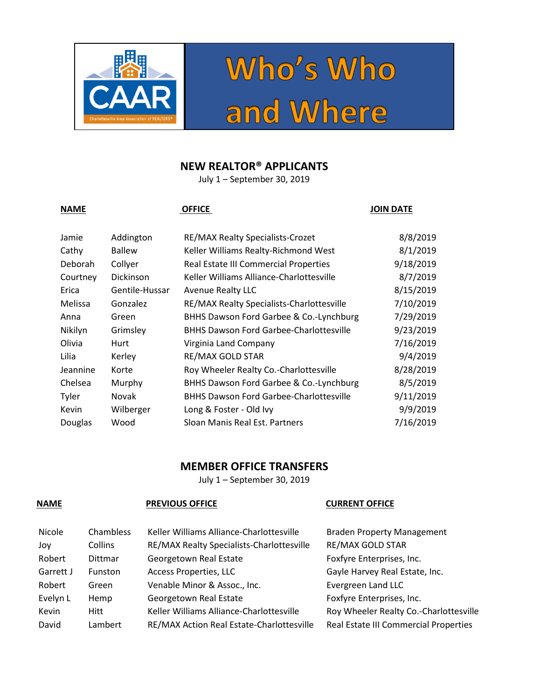



## **NEW REALTOR® APPLICANTS**

July 1 – September 30, 2019

## **NAME OFFICE OFFICE OFFICE JOIN DATE**

| Addington        | <b>RE/MAX Realty Specialists-Crozet</b>        | 8/8/2019  |
|------------------|------------------------------------------------|-----------|
| <b>Ballew</b>    | Keller Williams Realty-Richmond West           | 8/1/2019  |
| Collyer          | Real Estate III Commercial Properties          | 9/18/2019 |
| <b>Dickinson</b> | Keller Williams Alliance-Charlottesville       | 8/7/2019  |
| Gentile-Hussar   | <b>Avenue Realty LLC</b>                       | 8/15/2019 |
| Gonzalez         | RE/MAX Realty Specialists-Charlottesville      | 7/10/2019 |
| Green            | BHHS Dawson Ford Garbee & Co.-Lynchburg        | 7/29/2019 |
| Grimsley         | <b>BHHS Dawson Ford Garbee-Charlottesville</b> | 9/23/2019 |
| Hurt             | Virginia Land Company                          | 7/16/2019 |
| Kerley           | <b>RE/MAX GOLD STAR</b>                        | 9/4/2019  |
| Korte            | Roy Wheeler Realty Co.-Charlottesville         | 8/28/2019 |
| Murphy           | BHHS Dawson Ford Garbee & Co.-Lynchburg        | 8/5/2019  |
| Novak            | <b>BHHS Dawson Ford Garbee-Charlottesville</b> | 9/11/2019 |
| Wilberger        | Long & Foster - Old Ivy                        | 9/9/2019  |
| Wood             | Sloan Manis Real Est. Partners                 | 7/16/2019 |
|                  |                                                |           |

## **MEMBER OFFICE TRANSFERS**

July 1 – September 30, 2019

### **NAME PREVIOUS OFFICE CURRENT OFFICE**

| Nicole    | Chambless      | Keller Williams Alliance-Charlottesville  | <b>Braden Property Management</b>      |
|-----------|----------------|-------------------------------------------|----------------------------------------|
| Joy       | Collins        | RE/MAX Realty Specialists-Charlottesville | <b>RE/MAX GOLD STAR</b>                |
| Robert    | <b>Dittmar</b> | Georgetown Real Estate                    | Foxfyre Enterprises, Inc.              |
| Garrett J | <b>Funston</b> | <b>Access Properties, LLC</b>             | Gayle Harvey Real Estate, Inc.         |
| Robert    | Green          | Venable Minor & Assoc., Inc.              | Evergreen Land LLC                     |
| Evelyn L  | Hemp           | Georgetown Real Estate                    | Foxfyre Enterprises, Inc.              |
| Kevin     | Hitt           | Keller Williams Alliance-Charlottesville  | Roy Wheeler Realty Co.-Charlottesville |
| David     | Lambert        | RE/MAX Action Real Estate-Charlottesville | Real Estate III Commercial Properties  |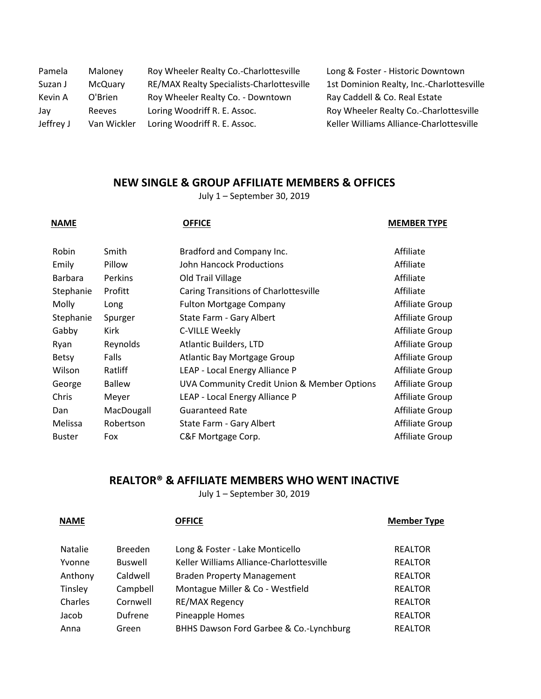| Pamela    | Maloney       | Roy Wheeler Realty Co.-Charlottesville    | Long & Foster - Historic Downtown         |
|-----------|---------------|-------------------------------------------|-------------------------------------------|
| Suzan J   | McQuary       | RE/MAX Realty Specialists-Charlottesville | 1st Dominion Realty, Inc.-Charlottesville |
| Kevin A   | O'Brien       | Roy Wheeler Realty Co. - Downtown         | Ray Caddell & Co. Real Estate             |
| Jav       | <b>Reeves</b> | Loring Woodriff R. E. Assoc.              | Roy Wheeler Realty Co.-Charlottesville    |
| Jeffrey J | Van Wickler   | Loring Woodriff R. E. Assoc.              | Keller Williams Alliance-Charlottesville  |

### **NEW SINGLE & GROUP AFFILIATE MEMBERS & OFFICES**

July 1 – September 30, 2019

| <b>NAME</b>   |               | <b>OFFICE</b>                               | <b>MEMBER TYPE</b>     |
|---------------|---------------|---------------------------------------------|------------------------|
| <b>Robin</b>  | Smith         | Bradford and Company Inc.                   | Affiliate              |
| Emily         | Pillow        | John Hancock Productions                    | Affiliate              |
| Barbara       | Perkins       | Old Trail Village                           | Affiliate              |
| Stephanie     | Profitt       | Caring Transitions of Charlottesville       | Affiliate              |
| <b>Molly</b>  | Long          | <b>Fulton Mortgage Company</b>              | Affiliate Group        |
| Stephanie     | Spurger       | State Farm - Gary Albert                    | <b>Affiliate Group</b> |
| Gabby         | Kirk          | C-VILLE Weekly                              | <b>Affiliate Group</b> |
| Ryan          | Reynolds      | <b>Atlantic Builders, LTD</b>               | Affiliate Group        |
| <b>Betsy</b>  | Falls         | Atlantic Bay Mortgage Group                 | Affiliate Group        |
| Wilson        | Ratliff       | LEAP - Local Energy Alliance P              | Affiliate Group        |
| George        | <b>Ballew</b> | UVA Community Credit Union & Member Options | Affiliate Group        |
| Chris         | Meyer         | LEAP - Local Energy Alliance P              | Affiliate Group        |
| Dan           | MacDougall    | <b>Guaranteed Rate</b>                      | <b>Affiliate Group</b> |
| Melissa       | Robertson     | State Farm - Gary Albert                    | <b>Affiliate Group</b> |
| <b>Buster</b> | Fox           | C&F Mortgage Corp.                          | <b>Affiliate Group</b> |
|               |               |                                             |                        |

# **REALTOR® & AFFILIATE MEMBERS WHO WENT INACTIVE**

July 1 – September 30, 2019

**NAME OFFICE OFFICE Member Type** 

| <b>Natalie</b> | <b>Breeden</b> | Long & Foster - Lake Monticello          | <b>REALTOR</b> |
|----------------|----------------|------------------------------------------|----------------|
| Yvonne         | <b>Buswell</b> | Keller Williams Alliance-Charlottesville | <b>REALTOR</b> |
| Anthony        | Caldwell       | <b>Braden Property Management</b>        | <b>REALTOR</b> |
| Tinsley        | Campbell       | Montague Miller & Co - Westfield         | <b>REALTOR</b> |
| Charles        | Cornwell       | RE/MAX Regency                           | <b>REALTOR</b> |
| Jacob          | Dufrene        | Pineapple Homes                          | <b>REALTOR</b> |
| Anna           | Green          | BHHS Dawson Ford Garbee & Co.-Lynchburg  | <b>REALTOR</b> |